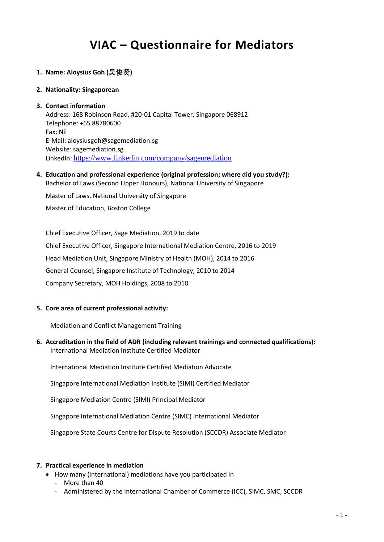# **VIAC – Questionnaire for Mediators**

# **1. Name: Aloysius Goh (吴俊贤)**

#### **2. Nationality: Singaporean**

#### **3. Contact information**

Address: 168 Robinson Road, #20-01 Capital Tower, Singapore 068912 Telephone: +65 88780600 Fax: Nil E-Mail: aloysiusgoh@sagemediation.sg Website: sagemediation.sg LinkedIn: <https://www.linkedin.com/company/sagemediation>

## **4. Education and professional experience (original profession; where did you study?):** Bachelor of Laws (Second Upper Honours), National University of Singapore

Master of Laws, National University of Singapore

Master of Education, Boston College

Chief Executive Officer, Sage Mediation, 2019 to date Chief Executive Officer, Singapore International Mediation Centre, 2016 to 2019 Head Mediation Unit, Singapore Ministry of Health (MOH), 2014 to 2016 General Counsel, Singapore Institute of Technology, 2010 to 2014 Company Secretary, MOH Holdings, 2008 to 2010

## **5. Core area of current professional activity:**

Mediation and Conflict Management Training

# **6. Accreditation in the field of ADR (including relevant trainings and connected qualifications):** International Mediation Institute Certified Mediator

International Mediation Institute Certified Mediation Advocate

Singapore International Mediation Institute (SIMI) Certified Mediator

Singapore Mediation Centre (SIMI) Principal Mediator

Singapore International Mediation Centre (SIMC) International Mediator

Singapore State Courts Centre for Dispute Resolution (SCCDR) Associate Mediator

## **7. Practical experience in mediation**

- How many (international) mediations have you participated in
	- More than 40
	- Administered by the International Chamber of Commerce (ICC), SIMC, SMC, SCCDR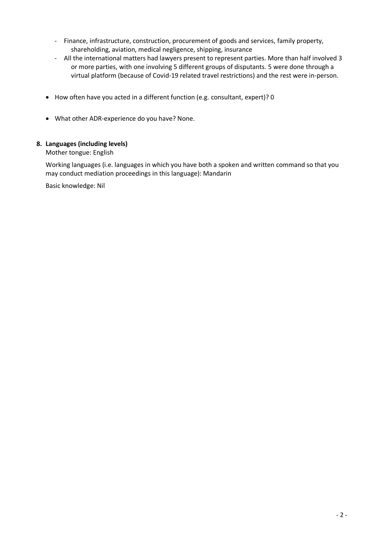- Finance, infrastructure, construction, procurement of goods and services, family property, shareholding, aviation, medical negligence, shipping, insurance
- All the international matters had lawyers present to represent parties. More than half involved 3 or more parties, with one involving 5 different groups of disputants. 5 were done through a virtual platform (because of Covid-19 related travel restrictions) and the rest were in-person.
- How often have you acted in a different function (e.g. consultant, expert)? 0
- What other ADR-experience do you have? None.

# **8. Languages (including levels)**

Mother tongue: English

Working languages (i.e. languages in which you have both a spoken and written command so that you may conduct mediation proceedings in this language): Mandarin

Basic knowledge: Nil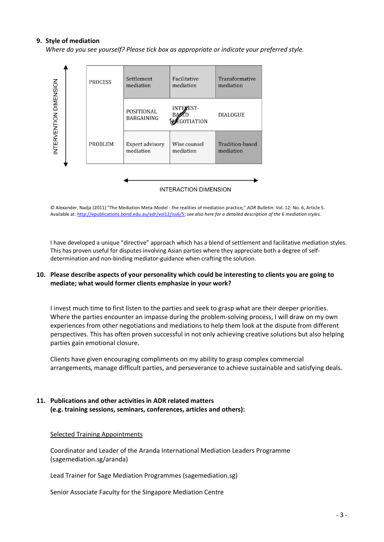## **9. Style of mediation**

*Where do you see yourself? Please tick box as appropriate or indicate your preferred style.*



*©* Alexander, Nadja (2011) "The Mediation Meta-Model - the realities of mediation practice," *ADR Bulletin*: Vol. 12: No. 6, Article 5. Available at: [http://epublications.bond.edu.au/adr/vol12/iss6/5;](http://epublications.bond.edu.au/adr/vol12/iss6/5) *see also here for a detailed description of the 6 mediation styles.*

I have developed a unique "directive" approach which has a blend of settlement and facilitative mediation styles. This has proven useful for disputes involving Asian parties where they appreciate both a degree of selfdetermination and non-binding mediator-guidance when crafting the solution.

## **10. Please describe aspects of your personality which could be interesting to clients you are going to mediate; what would former clients emphasize in your work?**

I invest much time to first listen to the parties and seek to grasp what are their deeper priorities. Where the parties encounter an impasse during the problem-solving process, I will draw on my own experiences from other negotiations and mediations to help them look at the dispute from different perspectives. This has often proven successful in not only achieving creative solutions but also helping parties gain emotional closure.

Clients have given encouraging compliments on my ability to grasp complex commercial arrangements, manage difficult parties, and perseverance to achieve sustainable and satisfying deals.

# **11. Publications and other activities in ADR related matters (e.g. training sessions, seminars, conferences, articles and others):**

## Selected Training Appointments

Coordinator and Leader of the Aranda International Mediation Leaders Programme (sagemediation.sg/aranda)

Lead Trainer for Sage Mediation Programmes (sagemediation.sg)

Senior Associate Faculty for the Singapore Mediation Centre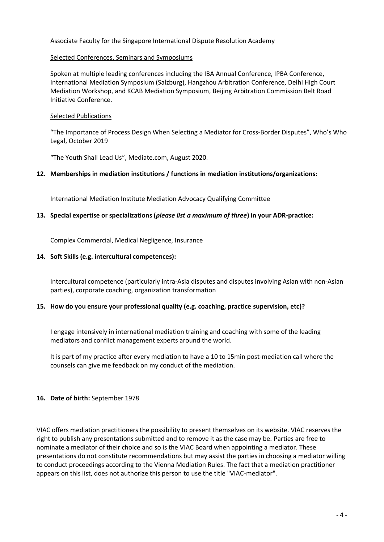# Associate Faculty for the Singapore International Dispute Resolution Academy

## Selected Conferences, Seminars and Symposiums

Spoken at multiple leading conferences including the IBA Annual Conference, IPBA Conference, International Mediation Symposium (Salzburg), Hangzhou Arbitration Conference, Delhi High Court Mediation Workshop, and KCAB Mediation Symposium, Beijing Arbitration Commission Belt Road Initiative Conference.

## Selected Publications

"The Importance of Process Design When Selecting a Mediator for Cross-Border Disputes", Who's Who Legal, October 2019

"The Youth Shall Lead Us", Mediate.com, August 2020.

## **12. Memberships in mediation institutions / functions in mediation institutions/organizations:**

International Mediation Institute Mediation Advocacy Qualifying Committee

## **13. Special expertise or specializations (***please list a maximum of three***) in your ADR-practice:**

Complex Commercial, Medical Negligence, Insurance

## **14. Soft Skills (e.g. intercultural competences):**

Intercultural competence (particularly intra-Asia disputes and disputes involving Asian with non-Asian parties), corporate coaching, organization transformation

# **15. How do you ensure your professional quality (e.g. coaching, practice supervision, etc)?**

I engage intensively in international mediation training and coaching with some of the leading mediators and conflict management experts around the world.

It is part of my practice after every mediation to have a 10 to 15min post-mediation call where the counsels can give me feedback on my conduct of the mediation.

## **16. Date of birth:** September 1978

VIAC offers mediation practitioners the possibility to present themselves on its website. VIAC reserves the right to publish any presentations submitted and to remove it as the case may be. Parties are free to nominate a mediator of their choice and so is the VIAC Board when appointing a mediator. These presentations do not constitute recommendations but may assist the parties in choosing a mediator willing to conduct proceedings according to the Vienna Mediation Rules. The fact that a mediation practitioner appears on this list, does not authorize this person to use the title "VIAC-mediator".